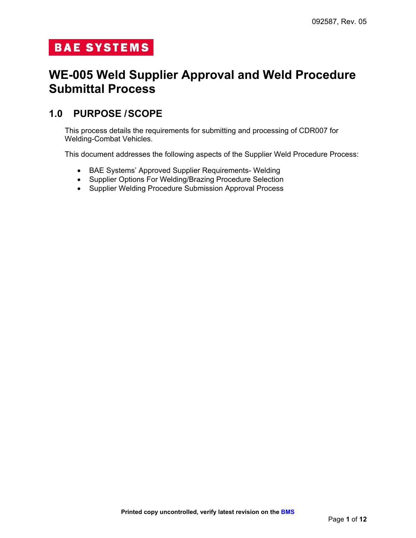# **BAE SYSTEMS**

# **WE-005 Weld Supplier Approval and Weld Procedure Submittal Process**

#### **1.0 PURPOSE /SCOPE**

This process details the requirements for submitting and processing of CDR007 for Welding-Combat Vehicles.

This document addresses the following aspects of the Supplier Weld Procedure Process:

- BAE Systems' Approved Supplier Requirements- Welding
- Supplier Options For Welding/Brazing Procedure Selection
- Supplier Welding Procedure Submission Approval Process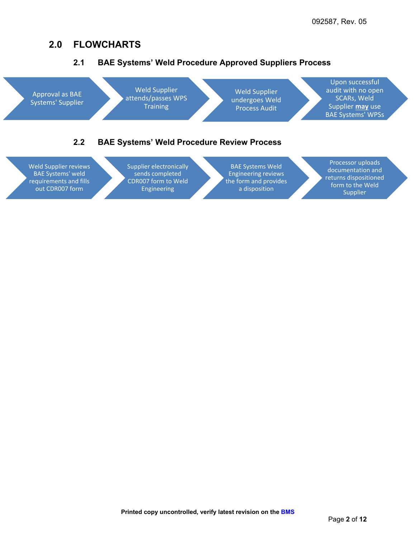#### **2.0 FLOWCHARTS**



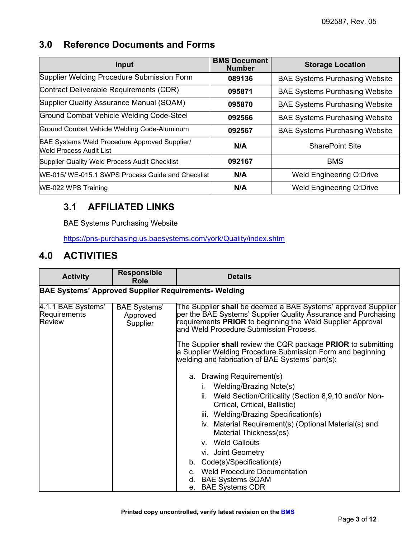### **3.0 Reference Documents and Forms**

| Input                                                                           | <b>BMS Document</b><br><b>Number</b> | <b>Storage Location</b>               |
|---------------------------------------------------------------------------------|--------------------------------------|---------------------------------------|
| Supplier Welding Procedure Submission Form                                      | 089136                               | <b>BAE Systems Purchasing Website</b> |
| Contract Deliverable Requirements (CDR)                                         | 095871                               | <b>BAE Systems Purchasing Website</b> |
| Supplier Quality Assurance Manual (SQAM)                                        | 095870                               | <b>BAE Systems Purchasing Website</b> |
| Ground Combat Vehicle Welding Code-Steel                                        | 092566                               | <b>BAE Systems Purchasing Website</b> |
| Ground Combat Vehicle Welding Code-Aluminum                                     | 092567                               | <b>BAE Systems Purchasing Website</b> |
| BAE Systems Weld Procedure Approved Supplier/<br><b>Weld Process Audit List</b> | N/A                                  | <b>SharePoint Site</b>                |
| Supplier Quality Weld Process Audit Checklist                                   | 092167                               | <b>BMS</b>                            |
| WE-015/ WE-015.1 SWPS Process Guide and Checklist                               | N/A                                  | <b>Weld Engineering O:Drive</b>       |
| WE-022 WPS Training                                                             | N/A                                  | <b>Weld Engineering O:Drive</b>       |

## **3.1 AFFILIATED LINKS**

BAE Systems Purchasing Website

<https://pns-purchasing.us.baesystems.com/york/Quality/index.shtm>

### **4.0 ACTIVITIES**

| <b>Activity</b>                                     | <b>Responsible</b><br>Role                                  | <b>Details</b>                                                                                                                                                                                                                                                                                                                                                                                                                                                                                |  |  |  |
|-----------------------------------------------------|-------------------------------------------------------------|-----------------------------------------------------------------------------------------------------------------------------------------------------------------------------------------------------------------------------------------------------------------------------------------------------------------------------------------------------------------------------------------------------------------------------------------------------------------------------------------------|--|--|--|
|                                                     | <b>BAE Systems' Approved Supplier Requirements- Welding</b> |                                                                                                                                                                                                                                                                                                                                                                                                                                                                                               |  |  |  |
| 4.1.1 BAE Systems'<br>Requirements<br><b>Review</b> | <b>BAE Systems'</b><br>Approved<br>Supplier                 | The Supplier shall be deemed a BAE Systems' approved Supplier<br>per the BAE Systems' Supplier Quality Assurance and Purchasing<br>requirements PRIOR to beginning the Weld Supplier Approval<br>and Weld Procedure Submission Process.                                                                                                                                                                                                                                                       |  |  |  |
|                                                     |                                                             | The Supplier shall review the CQR package PRIOR to submitting<br>a Supplier Welding Procedure Submission Form and beginning<br>welding and fabrication of BAE Systems' part(s):                                                                                                                                                                                                                                                                                                               |  |  |  |
|                                                     |                                                             | a. Drawing Requirement(s)<br><b>Welding/Brazing Note(s)</b><br>Ĺ.<br>Weld Section/Criticality (Section 8,9,10 and/or Non-<br>ii.<br>Critical, Critical, Ballistic)<br>iii. Welding/Brazing Specification(s)<br>iv. Material Requirement(s) (Optional Material(s) and<br>Material Thickness(es)<br>v. Weld Callouts<br>vi. Joint Geometry<br>Code(s)/Specification(s)<br>b.<br><b>Weld Procedure Documentation</b><br>C.<br><b>BAE Systems SQAM</b><br>d.<br><b>BAE Systems CDR</b><br>$e_{-}$ |  |  |  |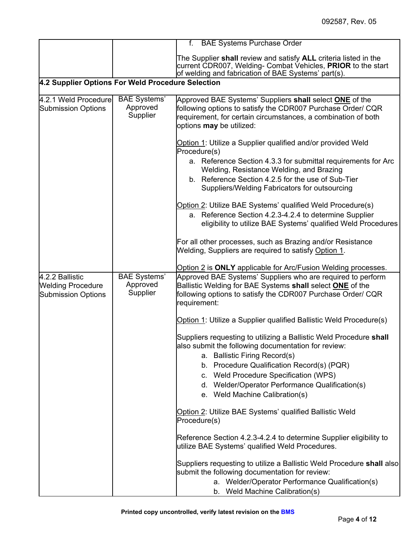|                                                                          |                                             | f. BAE Systems Purchase Order                                                                                                                                                                                                                                                                                                          |
|--------------------------------------------------------------------------|---------------------------------------------|----------------------------------------------------------------------------------------------------------------------------------------------------------------------------------------------------------------------------------------------------------------------------------------------------------------------------------------|
|                                                                          |                                             | The Supplier shall review and satisfy ALL criteria listed in the<br>current CDR007, Welding- Combat Vehicles, PRIOR to the start<br>of welding and fabrication of BAE Systems' part(s).                                                                                                                                                |
| 4.2 Supplier Options For Weld Procedure Selection                        |                                             |                                                                                                                                                                                                                                                                                                                                        |
| 4.2.1 Weld Procedure<br><b>Submission Options</b>                        | <b>BAE Systems'</b><br>Approved<br>Supplier | Approved BAE Systems' Suppliers shall select <b>ONE</b> of the<br>following options to satisfy the CDR007 Purchase Order/ CQR<br>requirement, for certain circumstances, a combination of both<br>options may be utilized:                                                                                                             |
|                                                                          |                                             | Option 1: Utilize a Supplier qualified and/or provided Weld<br>Procedure(s)                                                                                                                                                                                                                                                            |
|                                                                          |                                             | a. Reference Section 4.3.3 for submittal requirements for Arc<br>Welding, Resistance Welding, and Brazing<br>b. Reference Section 4.2.5 for the use of Sub-Tier<br>Suppliers/Welding Fabricators for outsourcing                                                                                                                       |
|                                                                          |                                             | Option 2: Utilize BAE Systems' qualified Weld Procedure(s)<br>a. Reference Section 4.2.3-4.2.4 to determine Supplier<br>eligibility to utilize BAE Systems' qualified Weld Procedures                                                                                                                                                  |
|                                                                          |                                             | For all other processes, such as Brazing and/or Resistance<br>Welding, Suppliers are required to satisfy Option 1.                                                                                                                                                                                                                     |
|                                                                          |                                             | Option 2 is ONLY applicable for Arc/Fusion Welding processes.                                                                                                                                                                                                                                                                          |
| 4.2.2 Ballistic<br><b>Welding Procedure</b><br><b>Submission Options</b> | <b>BAE Systems'</b><br>Approved<br>Supplier | Approved BAE Systems' Suppliers who are required to perform<br>Ballistic Welding for BAE Systems shall select <b>ONE</b> of the<br>following options to satisfy the CDR007 Purchase Order/ CQR<br>requirement:                                                                                                                         |
|                                                                          |                                             | Option 1: Utilize a Supplier qualified Ballistic Weld Procedure(s)                                                                                                                                                                                                                                                                     |
|                                                                          |                                             | Suppliers requesting to utilizing a Ballistic Weld Procedure shall<br>also submit the following documentation for review:<br>a. Ballistic Firing Record(s)<br>b. Procedure Qualification Record(s) (PQR)<br>c. Weld Procedure Specification (WPS)<br>d. Welder/Operator Performance Qualification(s)<br>e. Weld Machine Calibration(s) |
|                                                                          |                                             | Option 2: Utilize BAE Systems' qualified Ballistic Weld<br>Procedure(s)                                                                                                                                                                                                                                                                |
|                                                                          |                                             | Reference Section 4.2.3-4.2.4 to determine Supplier eligibility to<br>utilize BAE Systems' qualified Weld Procedures.                                                                                                                                                                                                                  |
|                                                                          |                                             | Suppliers requesting to utilize a Ballistic Weld Procedure shall also<br>submit the following documentation for review:                                                                                                                                                                                                                |
|                                                                          |                                             | a. Welder/Operator Performance Qualification(s)<br>b. Weld Machine Calibration(s)                                                                                                                                                                                                                                                      |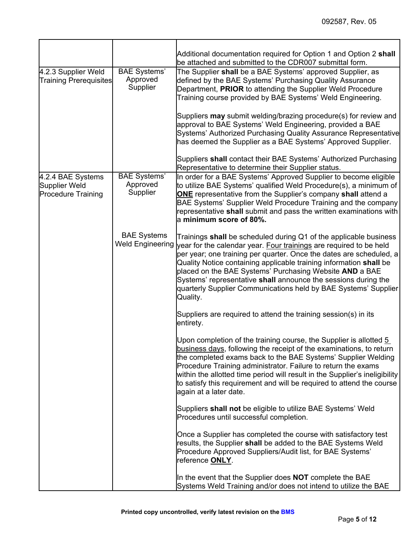|                                                                 |                                               | Additional documentation required for Option 1 and Option 2 shall<br>be attached and submitted to the CDR007 submittal form.                                                                                                                                                                                                                                                                                                                                                                                                                                                               |
|-----------------------------------------------------------------|-----------------------------------------------|--------------------------------------------------------------------------------------------------------------------------------------------------------------------------------------------------------------------------------------------------------------------------------------------------------------------------------------------------------------------------------------------------------------------------------------------------------------------------------------------------------------------------------------------------------------------------------------------|
| 4.2.3 Supplier Weld<br><b>Training Prerequisites</b>            | <b>BAE Systems'</b><br>Approved<br>Supplier   | The Supplier shall be a BAE Systems' approved Supplier, as<br>defined by the BAE Systems' Purchasing Quality Assurance<br>Department, PRIOR to attending the Supplier Weld Procedure<br>Training course provided by BAE Systems' Weld Engineering.<br>Suppliers may submit welding/brazing procedure(s) for review and<br>approval to BAE Systems' Weld Engineering, provided a BAE<br>Systems' Authorized Purchasing Quality Assurance Representative<br>has deemed the Supplier as a BAE Systems' Approved Supplier.<br>Suppliers shall contact their BAE Systems' Authorized Purchasing |
|                                                                 |                                               | Representative to determine their Supplier status.                                                                                                                                                                                                                                                                                                                                                                                                                                                                                                                                         |
| 4.2.4 BAE Systems<br>Supplier Weld<br><b>Procedure Training</b> | <b>BAE Systems'</b><br>Approved<br>Supplier   | In order for a BAE Systems' Approved Supplier to become eligible<br>to utilize BAE Systems' qualified Weld Procedure(s), a minimum of<br><b>ONE</b> representative from the Supplier's company shall attend a<br>BAE Systems' Supplier Weld Procedure Training and the company<br>representative shall submit and pass the written examinations with<br>$\,$ minimum score of 80%.                                                                                                                                                                                                         |
|                                                                 | <b>BAE Systems</b><br><b>Weld Engineering</b> | Trainings shall be scheduled during Q1 of the applicable business<br>year for the calendar year. Four trainings are required to be held<br>per year; one training per quarter. Once the dates are scheduled, a<br>Quality Notice containing applicable training information shall be<br>placed on the BAE Systems' Purchasing Website AND a BAE<br>Systems' representative shall announce the sessions during the<br>quarterly Supplier Communications held by BAE Systems' Supplier<br>Quality.                                                                                           |
|                                                                 |                                               | Suppliers are required to attend the training session(s) in its<br>entirety.                                                                                                                                                                                                                                                                                                                                                                                                                                                                                                               |
|                                                                 |                                               | Upon completion of the training course, the Supplier is allotted 5<br>business days, following the receipt of the examinations, to return<br>the completed exams back to the BAE Systems' Supplier Welding<br>Procedure Training administrator. Failure to return the exams<br>within the allotted time period will result in the Supplier's ineligibility<br>to satisfy this requirement and will be required to attend the course<br>again at a later date.                                                                                                                              |
|                                                                 |                                               | Suppliers shall not be eligible to utilize BAE Systems' Weld<br>Procedures until successful completion.                                                                                                                                                                                                                                                                                                                                                                                                                                                                                    |
|                                                                 |                                               | Once a Supplier has completed the course with satisfactory test<br>results, the Supplier shall be added to the BAE Systems Weld<br>Procedure Approved Suppliers/Audit list, for BAE Systems'<br>reference <b>ONLY</b> .                                                                                                                                                                                                                                                                                                                                                                    |
|                                                                 |                                               | In the event that the Supplier does <b>NOT</b> complete the BAE<br>Systems Weld Training and/or does not intend to utilize the BAE                                                                                                                                                                                                                                                                                                                                                                                                                                                         |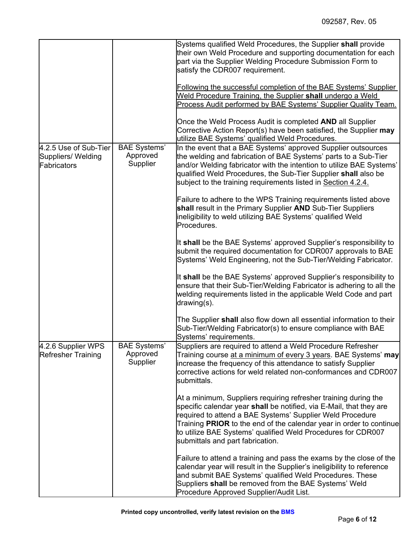|                                                            |                                             | Systems qualified Weld Procedures, the Supplier shall provide<br>their own Weld Procedure and supporting documentation for each<br>part via the Supplier Welding Procedure Submission Form to<br>satisfy the CDR007 requirement.                                                                                                                                               |
|------------------------------------------------------------|---------------------------------------------|--------------------------------------------------------------------------------------------------------------------------------------------------------------------------------------------------------------------------------------------------------------------------------------------------------------------------------------------------------------------------------|
|                                                            |                                             | Following the successful completion of the BAE Systems' Supplier<br>Weld Procedure Training, the Supplier shall undergo a Weld<br>Process Audit performed by BAE Systems' Supplier Quality Team.                                                                                                                                                                               |
|                                                            |                                             | Once the Weld Process Audit is completed AND all Supplier<br>Corrective Action Report(s) have been satisfied, the Supplier may<br>utilize BAE Systems' qualified Weld Procedures.                                                                                                                                                                                              |
| 4.2.5 Use of Sub-Tier<br>Suppliers/ Welding<br>Fabricators | <b>BAE Systems'</b><br>Approved<br>Supplier | In the event that a BAE Systems' approved Supplier outsources<br>the welding and fabrication of BAE Systems' parts to a Sub-Tier<br>and/or Welding fabricator with the intention to utilize BAE Systems'<br>qualified Weld Procedures, the Sub-Tier Supplier shall also be<br>subject to the training requirements listed in Section 4.2.4.                                    |
|                                                            |                                             | Failure to adhere to the WPS Training requirements listed above<br>shall result in the Primary Supplier AND Sub-Tier Suppliers<br>ineligibility to weld utilizing BAE Systems' qualified Weld<br>Procedures.                                                                                                                                                                   |
|                                                            |                                             | It shall be the BAE Systems' approved Supplier's responsibility to<br>submit the required documentation for CDR007 approvals to BAE<br>Systems' Weld Engineering, not the Sub-Tier/Welding Fabricator.                                                                                                                                                                         |
|                                                            |                                             | It shall be the BAE Systems' approved Supplier's responsibility to<br>ensure that their Sub-Tier/Welding Fabricator is adhering to all the<br>welding requirements listed in the applicable Weld Code and part<br>drawing(s).                                                                                                                                                  |
|                                                            |                                             | The Supplier shall also flow down all essential information to their<br>Sub-Tier/Welding Fabricator(s) to ensure compliance with BAE<br>Systems' requirements.                                                                                                                                                                                                                 |
| 4.2.6 Supplier WPS<br><b>Refresher Training</b>            | <b>BAE Systems'</b><br>Approved<br>Supplier | Suppliers are required to attend a Weld Procedure Refresher<br>Training course at a minimum of every 3 years. BAE Systems' may<br>increase the frequency of this attendance to satisfy Supplier<br>corrective actions for weld related non-conformances and CDR007<br>submittals.                                                                                              |
|                                                            |                                             | At a minimum, Suppliers requiring refresher training during the<br>specific calendar year shall be notified, via E-Mail, that they are<br>required to attend a BAE Systems' Supplier Weld Procedure<br>Training PRIOR to the end of the calendar year in order to continue<br>to utilize BAE Systems' qualified Weld Procedures for CDR007<br>submittals and part fabrication. |
|                                                            |                                             | Failure to attend a training and pass the exams by the close of the<br>calendar year will result in the Supplier's ineligibility to reference<br>and submit BAE Systems' qualified Weld Procedures. These<br>Suppliers shall be removed from the BAE Systems' Weld<br>Procedure Approved Supplier/Audit List.                                                                  |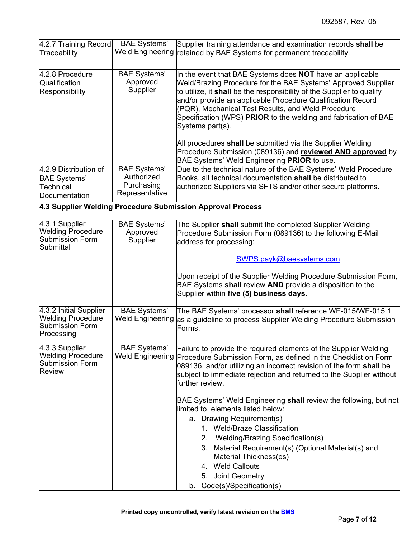| 4.2.7 Training Record<br>Traceability                                                      | <b>BAE Systems'</b><br><b>Weld Engineering</b>                    | Supplier training attendance and examination records shall be<br>retained by BAE Systems for permanent traceability.                                                                                                                                                                                                                                                                                                                                                                                                                                                                                                                                                            |  |
|--------------------------------------------------------------------------------------------|-------------------------------------------------------------------|---------------------------------------------------------------------------------------------------------------------------------------------------------------------------------------------------------------------------------------------------------------------------------------------------------------------------------------------------------------------------------------------------------------------------------------------------------------------------------------------------------------------------------------------------------------------------------------------------------------------------------------------------------------------------------|--|
| 4.2.8 Procedure<br>Qualification<br>Responsibility                                         | <b>BAE Systems'</b><br>Approved<br>Supplier                       | In the event that BAE Systems does NOT have an applicable<br>Weld/Brazing Procedure for the BAE Systems' Approved Supplier<br>to utilize, it shall be the responsibility of the Supplier to qualify<br>and/or provide an applicable Procedure Qualification Record<br>(PQR), Mechanical Test Results, and Weld Procedure<br>Specification (WPS) PRIOR to the welding and fabrication of BAE<br>Systems part(s).                                                                                                                                                                                                                                                                 |  |
|                                                                                            |                                                                   | All procedures shall be submitted via the Supplier Welding<br>Procedure Submission (089136) and reviewed AND approved by<br>BAE Systems' Weld Engineering PRIOR to use.                                                                                                                                                                                                                                                                                                                                                                                                                                                                                                         |  |
| 4.2.9 Distribution of<br><b>BAE Systems'</b><br>Technical<br>Documentation                 | <b>BAE Systems'</b><br>Authorized<br>Purchasing<br>Representative | Due to the technical nature of the BAE Systems' Weld Procedure<br>Books, all technical documentation shall be distributed to<br>authorized Suppliers via SFTS and/or other secure platforms.                                                                                                                                                                                                                                                                                                                                                                                                                                                                                    |  |
|                                                                                            |                                                                   | 4.3 Supplier Welding Procedure Submission Approval Process                                                                                                                                                                                                                                                                                                                                                                                                                                                                                                                                                                                                                      |  |
| 4.3.1 Supplier<br><b>Welding Procedure</b><br><b>Submission Form</b><br>Submittal          | <b>BAE Systems'</b><br>Approved<br>Supplier                       | The Supplier shall submit the completed Supplier Welding<br>Procedure Submission Form (089136) to the following E-Mail<br>address for processing:                                                                                                                                                                                                                                                                                                                                                                                                                                                                                                                               |  |
|                                                                                            |                                                                   | SWPS.payk@baesystems.com<br>Upon receipt of the Supplier Welding Procedure Submission Form,<br>BAE Systems shall review AND provide a disposition to the<br>Supplier within five (5) business days.                                                                                                                                                                                                                                                                                                                                                                                                                                                                             |  |
| 4.3.2 Initial Supplier<br><b>Welding Procedure</b><br><b>Submission Form</b><br>Processing | <b>BAE Systems'</b><br><b>Weld Engineering</b>                    | The BAE Systems' processor shall reference WE-015/WE-015.1<br>as a guideline to process Supplier Welding Procedure Submission<br>Forms.                                                                                                                                                                                                                                                                                                                                                                                                                                                                                                                                         |  |
| 4.3.3 Supplier<br><b>Welding Procedure</b><br><b>Submission Form</b><br><b>Review</b>      | <b>BAE Systems'</b><br><b>Weld Engineering</b>                    | Failure to provide the required elements of the Supplier Welding<br>Procedure Submission Form, as defined in the Checklist on Form<br>089136, and/or utilizing an incorrect revision of the form shall be<br>subject to immediate rejection and returned to the Supplier without<br>further review.<br>BAE Systems' Weld Engineering shall review the following, but not<br>limited to, elements listed below:<br>a. Drawing Requirement(s)<br>1. Weld/Braze Classification<br>Welding/Brazing Specification(s)<br>2.<br>3. Material Requirement(s) (Optional Material(s) and<br>Material Thickness(es)<br>4. Weld Callouts<br>5. Joint Geometry<br>b. Code(s)/Specification(s) |  |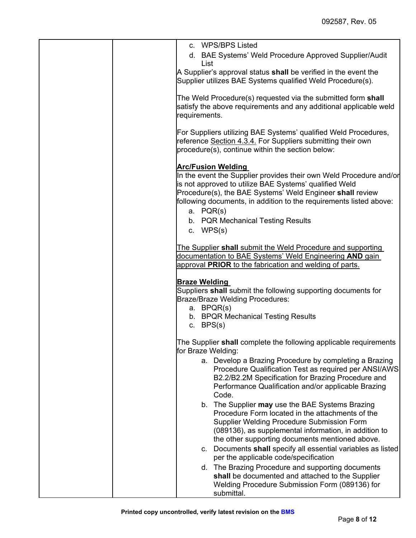| c. WPS/BPS Listed                                                                                                                                                                                                                                                                                                                                             |
|---------------------------------------------------------------------------------------------------------------------------------------------------------------------------------------------------------------------------------------------------------------------------------------------------------------------------------------------------------------|
| d. BAE Systems' Weld Procedure Approved Supplier/Audit<br>List                                                                                                                                                                                                                                                                                                |
| A Supplier's approval status shall be verified in the event the<br>Supplier utilizes BAE Systems qualified Weld Procedure(s).                                                                                                                                                                                                                                 |
| The Weld Procedure(s) requested via the submitted form shall<br>satisfy the above requirements and any additional applicable weld<br>requirements.                                                                                                                                                                                                            |
| For Suppliers utilizing BAE Systems' qualified Weld Procedures,<br>reference Section 4.3.4. For Suppliers submitting their own<br>procedure(s), continue within the section below:                                                                                                                                                                            |
| <b>Arc/Fusion Welding</b><br>In the event the Supplier provides their own Weld Procedure and/or<br>is not approved to utilize BAE Systems' qualified Weld<br>Procedure(s), the BAE Systems' Weld Engineer shall review<br>following documents, in addition to the requirements listed above:<br>a. PQR(s)<br>b. PQR Mechanical Testing Results<br>c. $WPS(s)$ |
| The Supplier shall submit the Weld Procedure and supporting<br>documentation to BAE Systems' Weld Engineering AND gain<br>approval PRIOR to the fabrication and welding of parts.                                                                                                                                                                             |
| <b>Braze Welding</b><br>Suppliers shall submit the following supporting documents for<br>Braze/Braze Welding Procedures:<br>a. BPQR(s)<br>b. BPQR Mechanical Testing Results<br>c. $BPS(s)$                                                                                                                                                                   |
| The Supplier shall complete the following applicable requirements<br>for Braze Welding:                                                                                                                                                                                                                                                                       |
| a. Develop a Brazing Procedure by completing a Brazing<br>Procedure Qualification Test as required per ANSI/AWS<br>B2.2/B2.2M Specification for Brazing Procedure and<br>Performance Qualification and/or applicable Brazing<br>Code.                                                                                                                         |
| b. The Supplier may use the BAE Systems Brazing<br>Procedure Form located in the attachments of the<br>Supplier Welding Procedure Submission Form<br>(089136), as supplemental information, in addition to<br>the other supporting documents mentioned above.                                                                                                 |
| Documents shall specify all essential variables as listed<br>C.<br>per the applicable code/specification                                                                                                                                                                                                                                                      |
| d. The Brazing Procedure and supporting documents<br>shall be documented and attached to the Supplier<br>Welding Procedure Submission Form (089136) for<br>submittal.                                                                                                                                                                                         |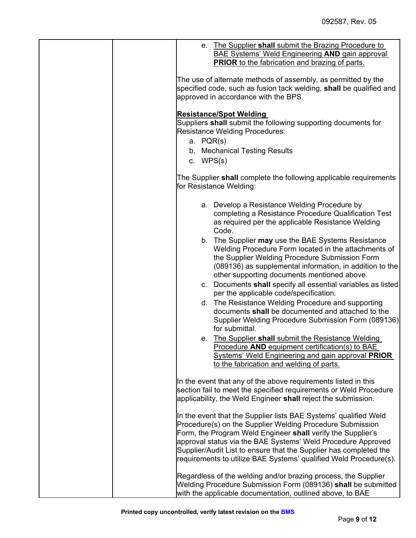|                          | e. The Supplier shall submit the Brazing Procedure to<br><b>BAE Systems' Weld Engineering AND gain approval</b>                                                                                                                                                                                                                                                                                        |
|--------------------------|--------------------------------------------------------------------------------------------------------------------------------------------------------------------------------------------------------------------------------------------------------------------------------------------------------------------------------------------------------------------------------------------------------|
|                          | <b>PRIOR</b> to the fabrication and brazing of parts.<br>The use of alternate methods of assembly, as permitted by the                                                                                                                                                                                                                                                                                 |
|                          | specified code, such as fusion tack welding, shall be qualified and<br>approved in accordance with the BPS.                                                                                                                                                                                                                                                                                            |
| a. PQR(s)<br>c. $WPS(s)$ | <b>Resistance/Spot Welding</b><br>Suppliers shall submit the following supporting documents for<br><b>Resistance Welding Procedures:</b><br>b. Mechanical Testing Results                                                                                                                                                                                                                              |
|                          | The Supplier shall complete the following applicable requirements<br>for Resistance Welding:                                                                                                                                                                                                                                                                                                           |
|                          | a. Develop a Resistance Welding Procedure by<br>completing a Resistance Procedure Qualification Test<br>as required per the applicable Resistance Welding<br>Code.                                                                                                                                                                                                                                     |
|                          | b. The Supplier may use the BAE Systems Resistance<br>Welding Procedure Form located in the attachments of<br>the Supplier Welding Procedure Submission Form<br>(089136) as supplemental information, in addition to the<br>other supporting documents mentioned above.                                                                                                                                |
|                          | c. Documents shall specify all essential variables as listed<br>per the applicable code/specification.                                                                                                                                                                                                                                                                                                 |
|                          | d. The Resistance Welding Procedure and supporting<br>documents shall be documented and attached to the<br>Supplier Welding Procedure Submission Form (089136)<br>for submittal.                                                                                                                                                                                                                       |
|                          | e. The Supplier shall submit the Resistance Welding<br>Procedure AND equipment certification(s) to BAE<br><b>Systems' Weld Engineering and gain approval PRIOR</b><br>to the fabrication and welding of parts.                                                                                                                                                                                         |
|                          | In the event that any of the above requirements listed in this<br>section fail to meet the specified requirements or Weld Procedure<br>applicability, the Weld Engineer shall reject the submission.                                                                                                                                                                                                   |
|                          | In the event that the Supplier lists BAE Systems' qualified Weld<br>Procedure(s) on the Supplier Welding Procedure Submission<br>Form, the Program Weld Engineer shall verify the Supplier's<br>approval status via the BAE Systems' Weld Procedure Approved<br>Supplier/Audit List to ensure that the Supplier has completed the<br>requirements to utilize BAE Systems' qualified Weld Procedure(s). |
|                          | Regardless of the welding and/or brazing process, the Supplier<br>Welding Procedure Submission Form (089136) shall be submitted<br>with the applicable documentation, outlined above, to BAE                                                                                                                                                                                                           |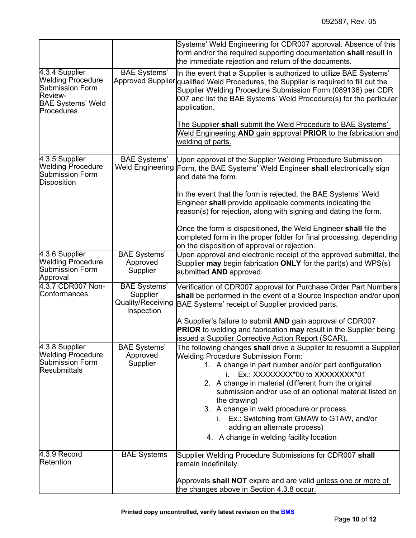|                                                                                                                                         |                                                                    | Systems' Weld Engineering for CDR007 approval. Absence of this<br>form and/or the required supporting documentation shall result in<br>the immediate rejection and return of the documents.                                                                                                                                                                                                                                                                               |  |
|-----------------------------------------------------------------------------------------------------------------------------------------|--------------------------------------------------------------------|---------------------------------------------------------------------------------------------------------------------------------------------------------------------------------------------------------------------------------------------------------------------------------------------------------------------------------------------------------------------------------------------------------------------------------------------------------------------------|--|
| 4.3.4 Supplier<br><b>Welding Procedure</b><br><b>Submission Form</b><br><b>Review-</b><br><b>BAE Systems' Weld</b><br><b>Procedures</b> | <b>BAE</b> Systems'                                                | In the event that a Supplier is authorized to utilize BAE Systems'<br>Approved Supplier qualified Weld Procedures, the Supplier is required to fill out the<br>Supplier Welding Procedure Submission Form (089136) per CDR<br>007 and list the BAE Systems' Weld Procedure(s) for the particular<br>application.                                                                                                                                                          |  |
|                                                                                                                                         |                                                                    | The Supplier shall submit the Weld Procedure to BAE Systems'<br>Weld Engineering AND gain approval PRIOR to the fabrication and<br>welding of parts.                                                                                                                                                                                                                                                                                                                      |  |
| 4.3.5 Supplier<br><b>Welding Procedure</b><br><b>Submission Form</b><br><b>Disposition</b>                                              | <b>BAE Systems'</b><br><b>Weld Engineering</b>                     | Upon approval of the Supplier Welding Procedure Submission<br>Form, the BAE Systems' Weld Engineer shall electronically sign<br>and date the form.                                                                                                                                                                                                                                                                                                                        |  |
|                                                                                                                                         |                                                                    | In the event that the form is rejected, the BAE Systems' Weld<br>Engineer shall provide applicable comments indicating the<br>reason(s) for rejection, along with signing and dating the form.                                                                                                                                                                                                                                                                            |  |
|                                                                                                                                         |                                                                    | Once the form is dispositioned, the Weld Engineer shall file the<br>completed form in the proper folder for final processing, depending<br>on the disposition of approval or rejection.                                                                                                                                                                                                                                                                                   |  |
| 4.3.6 Supplier<br><b>Welding Procedure</b><br><b>Submission Form</b><br>Approval                                                        | <b>BAE Systems'</b><br>Approved<br>Supplier                        | Upon approval and electronic receipt of the approved submittal, the<br>Supplier may begin fabrication ONLY for the part(s) and WPS(s)<br>submitted AND approved.                                                                                                                                                                                                                                                                                                          |  |
| 4.3.7 CDR007 Non-<br>Conformances                                                                                                       | <b>BAE Systems'</b><br>Supplier<br>Quality/Receiving<br>Inspection | Verification of CDR007 approval for Purchase Order Part Numbers<br>shall be performed in the event of a Source Inspection and/or upon<br>BAE Systems' receipt of Supplier provided parts.                                                                                                                                                                                                                                                                                 |  |
|                                                                                                                                         |                                                                    | A Supplier's failure to submit AND gain approval of CDR007<br><b>PRIOR</b> to welding and fabrication may result in the Supplier being<br>issued a Supplier Corrective Action Report (SCAR).                                                                                                                                                                                                                                                                              |  |
| 4.3.8 Supplier<br><b>Welding Procedure</b><br>Submission Form<br><b>Resubmittals</b>                                                    | <b>BAE Systems'</b><br>Approved<br>Supplier                        | The following changes shall drive a Supplier to resubmit a Supplier<br><b>Welding Procedure Submission Form:</b><br>1. A change in part number and/or part configuration<br>Ex.: XXXXXXXX*00 to XXXXXXXX*01<br>2. A change in material (different from the original<br>submission and/or use of an optional material listed on<br>the drawing)<br>3. A change in weld procedure or process<br>i. Ex.: Switching from GMAW to GTAW, and/or<br>adding an alternate process) |  |
|                                                                                                                                         |                                                                    | 4. A change in welding facility location                                                                                                                                                                                                                                                                                                                                                                                                                                  |  |
| 4.3.9 Record<br>Retention                                                                                                               | <b>BAE Systems</b>                                                 | Supplier Welding Procedure Submissions for CDR007 shall<br>remain indefinitely.                                                                                                                                                                                                                                                                                                                                                                                           |  |
|                                                                                                                                         |                                                                    | Approvals shall NOT expire and are valid unless one or more of<br>the changes above in Section 4.3.8 occur.                                                                                                                                                                                                                                                                                                                                                               |  |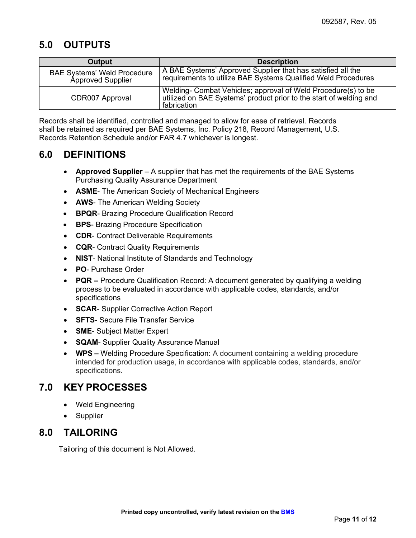# **5.0 OUTPUTS**

| Output                                                  | <b>Description</b>                                                                                                                                 |
|---------------------------------------------------------|----------------------------------------------------------------------------------------------------------------------------------------------------|
| <b>BAE Systems' Weld Procedure</b><br>Approved Supplier | A BAE Systems' Approved Supplier that has satisfied all the<br>requirements to utilize BAE Systems Qualified Weld Procedures                       |
| CDR007 Approval                                         | Welding- Combat Vehicles; approval of Weld Procedure(s) to be<br>utilized on BAE Systems' product prior to the start of welding and<br>fabrication |

Records shall be identified, controlled and managed to allow for ease of retrieval. Records shall be retained as required per BAE Systems, Inc. Policy 218, Record Management, U.S. Records Retention Schedule and/or FAR 4.7 whichever is longest.

## **6.0 DEFINITIONS**

- **Approved Supplier**  A supplier that has met the requirements of the BAE Systems Purchasing Quality Assurance Department
- **ASME** The American Society of Mechanical Engineers
- **AWS** The American Welding Society
- **BPQR** Brazing Procedure Qualification Record
- **BPS** Brazing Procedure Specification
- **CDR** Contract Deliverable Requirements
- **CQR** Contract Quality Requirements
- **NIST** National Institute of Standards and Technology
- **PO** Purchase Order
- **PQR –** Procedure Qualification Record: A document generated by qualifying a welding process to be evaluated in accordance with applicable codes, standards, and/or specifications
- **SCAR** Supplier Corrective Action Report
- **SFTS** Secure File Transfer Service
- **SME** Subject Matter Expert
- **SQAM** Supplier Quality Assurance Manual
- **WPS –** Welding Procedure Specification: A document containing a welding procedure intended for production usage, in accordance with applicable codes, standards, and/or specifications.

### **7.0 KEY PROCESSES**

- Weld Engineering
- **Supplier**

### **8.0 TAILORING**

Tailoring of this document is Not Allowed.